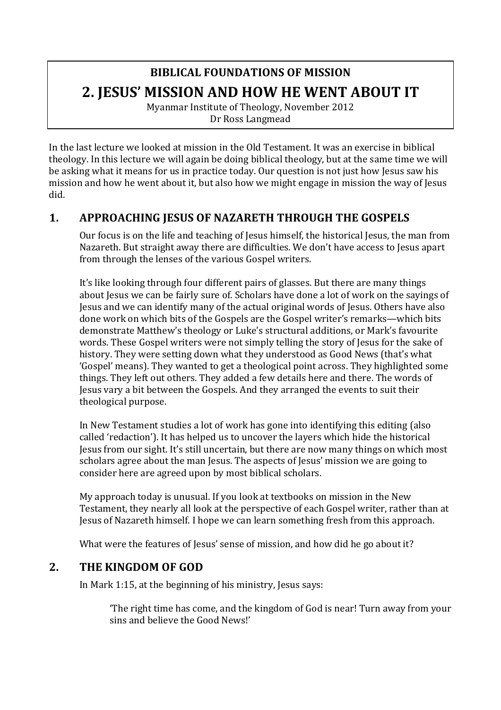# **BIBLICAL FOUNDATIONS OF MISSION 2. JESUS' MISSION AND HOW HE WENT ABOUT IT**

Myanmar Institute of Theology, November 2012 Dr Ross Langmead

In the last lecture we looked at mission in the Old Testament. It was an exercise in biblical theology. In this lecture we will again be doing biblical theology, but at the same time we will be asking what it means for us in practice today. Our question is not just how Jesus saw his mission and how he went about it, but also how we might engage in mission the way of Jesus did.

### **1. APPROACHING JESUS OF NAZARETH THROUGH THE GOSPELS**

Our focus is on the life and teaching of Jesus himself, the historical Jesus, the man from Nazareth. But straight away there are difficulties. We don't have access to Jesus apart from through the lenses of the various Gospel writers.

It's like looking through four different pairs of glasses. But there are many things about Jesus we can be fairly sure of. Scholars have done a lot of work on the sayings of Jesus and we can identify many of the actual original words of Jesus. Others have also done work on which bits of the Gospels are the Gospel writer's remarks—which bits demonstrate Matthew's theology or Luke's structural additions, or Mark's favourite words. These Gospel writers were not simply telling the story of Jesus for the sake of history. They were setting down what they understood as Good News (that's what 'Gospel' means). They wanted to get a theological point across. They highlighted some things. They left out others. They added a few details here and there. The words of Jesus vary a bit between the Gospels. And they arranged the events to suit their theological purpose.

In New Testament studies a lot of work has gone into identifying this editing (also called 'redaction'). It has helped us to uncover the layers which hide the historical Jesus from our sight. It's still uncertain, but there are now many things on which most scholars agree about the man Jesus. The aspects of Jesus' mission we are going to consider here are agreed upon by most biblical scholars.

My approach today is unusual. If you look at textbooks on mission in the New Testament, they nearly all look at the perspective of each Gospel writer, rather than at Jesus of Nazareth himself. I hope we can learn something fresh from this approach.

What were the features of Jesus' sense of mission, and how did he go about it?

#### 2. **THE KINGDOM OF GOD**

In Mark 1:15, at the beginning of his ministry, Jesus says:

The right time has come, and the kingdom of God is near! Turn away from your sins and believe the Good News!'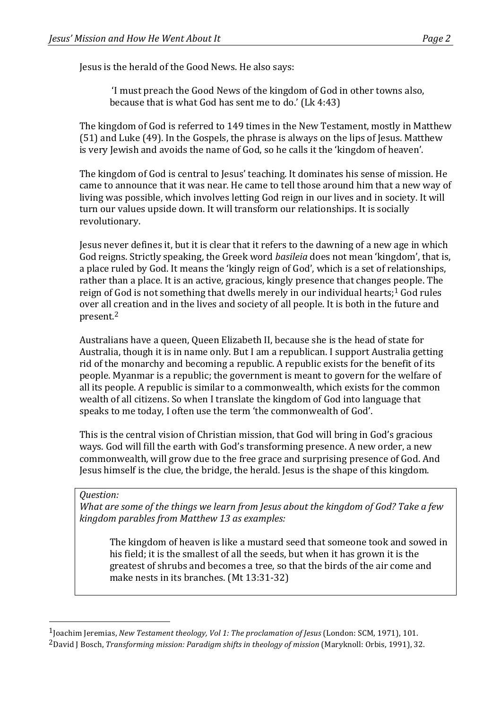Jesus is the herald of the Good News. He also says:

'I must preach the Good News of the kingdom of God in other towns also, because that is what God has sent me to do.' (Lk  $4:43$ )

The kingdom of God is referred to 149 times in the New Testament, mostly in Matthew  $(51)$  and Luke  $(49)$ . In the Gospels, the phrase is always on the lips of Jesus. Matthew is very Jewish and avoids the name of God, so he calls it the 'kingdom of heaven'.

The kingdom of God is central to Jesus' teaching. It dominates his sense of mission. He came to announce that it was near. He came to tell those around him that a new way of living was possible, which involves letting God reign in our lives and in society. It will turn our values upside down. It will transform our relationships. It is socially revolutionary.

Jesus never defines it, but it is clear that it refers to the dawning of a new age in which God reigns. Strictly speaking, the Greek word *basileia* does not mean 'kingdom', that is, a place ruled by God. It means the 'kingly reign of God', which is a set of relationships, rather than a place. It is an active, gracious, kingly presence that changes people. The reign of God is not something that dwells merely in our individual hearts;<sup>1</sup> God rules over all creation and in the lives and society of all people. It is both in the future and present.2

Australians have a queen, Queen Elizabeth II, because she is the head of state for Australia, though it is in name only. But I am a republican. I support Australia getting rid of the monarchy and becoming a republic. A republic exists for the benefit of its people. Myanmar is a republic; the government is meant to govern for the welfare of all its people. A republic is similar to a commonwealth, which exists for the common wealth of all citizens. So when I translate the kingdom of God into language that speaks to me today, I often use the term 'the commonwealth of God'.

This is the central vision of Christian mission, that God will bring in God's gracious ways. God will fill the earth with God's transforming presence. A new order, a new commonwealth, will grow due to the free grace and surprising presence of God. And Jesus himself is the clue, the bridge, the herald. Jesus is the shape of this kingdom.

#### *Question:*

 

*What are some of the things we learn from Jesus about the kingdom of God? Take a few kingdom parables from Matthew 13 as examples:*

The kingdom of heaven is like a mustard seed that someone took and sowed in his field; it is the smallest of all the seeds, but when it has grown it is the greatest of shrubs and becomes a tree, so that the birds of the air come and make nests in its branches. (Mt 13:31-32)

<sup>&</sup>lt;sup>1</sup>Joachim Jeremias, *New Testament theology, Vol 1: The proclamation of Jesus* (London: SCM, 1971), 101.

<sup>&</sup>lt;sup>2</sup>David J Bosch, *Transforming mission: Paradigm shifts in theology of mission* (Maryknoll: Orbis, 1991), 32.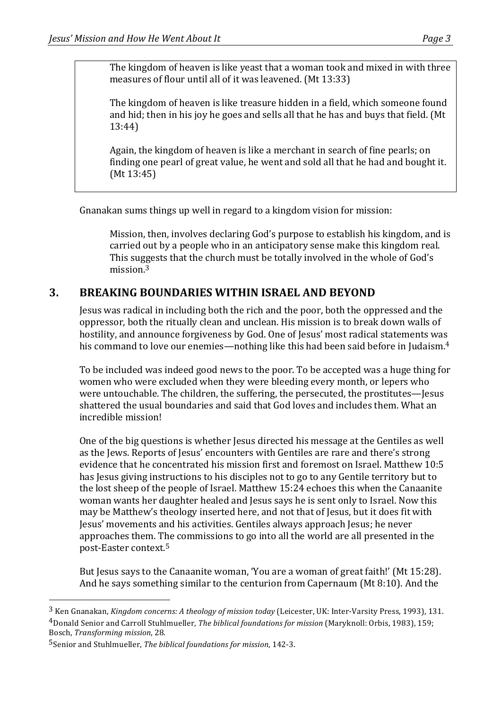The kingdom of heaven is like yeast that a woman took and mixed in with three measures of flour until all of it was leavened. (Mt 13:33)

The kingdom of heaven is like treasure hidden in a field, which someone found and hid; then in his joy he goes and sells all that he has and buys that field. (Mt 13:44)

Again, the kingdom of heaven is like a merchant in search of fine pearls; on finding one pearl of great value, he went and sold all that he had and bought it.  $(Mt 13:45)$ 

Gnanakan sums things up well in regard to a kingdom vision for mission:

Mission, then, involves declaring God's purpose to establish his kingdom, and is carried out by a people who in an anticipatory sense make this kingdom real. This suggests that the church must be totally involved in the whole of God's mission.3

# **3. BREAKING BOUNDARIES WITHIN ISRAEL AND BEYOND**

Jesus was radical in including both the rich and the poor, both the oppressed and the oppressor, both the ritually clean and unclean. His mission is to break down walls of hostility, and announce forgiveness by God. One of Jesus' most radical statements was his command to love our enemies—nothing like this had been said before in Judaism.<sup>4</sup>

To be included was indeed good news to the poor. To be accepted was a huge thing for women who were excluded when they were bleeding every month, or lepers who were untouchable. The children, the suffering, the persecuted, the prostitutes—Jesus shattered the usual boundaries and said that God loves and includes them. What an incredible mission!

One of the big questions is whether Jesus directed his message at the Gentiles as well as the Jews. Reports of Jesus' encounters with Gentiles are rare and there's strong evidence that he concentrated his mission first and foremost on Israel. Matthew 10:5 has lesus giving instructions to his disciples not to go to any Gentile territory but to the lost sheep of the people of Israel. Matthew  $15:24$  echoes this when the Canaanite woman wants her daughter healed and Jesus says he is sent only to Israel. Now this may be Matthew's theology inserted here, and not that of Jesus, but it does fit with Jesus' movements and his activities. Gentiles always approach Jesus; he never approaches them. The commissions to go into all the world are all presented in the post-Easter context.<sup>5</sup>

But Jesus says to the Canaanite woman, 'You are a woman of great faith!' (Mt 15:28). And he says something similar to the centurion from Capernaum (Mt  $8:10$ ). And the

 

<sup>&</sup>lt;sup>3</sup> Ken Gnanakan, *Kingdom concerns: A theology of mission today* (Leicester, UK: Inter-Varsity Press, 1993), 131. <sup>4</sup>Donald Senior and Carroll Stuhlmueller, *The biblical foundations for mission* (Maryknoll: Orbis, 1983), 159; Bosch, *Transforming mission*, 28.

<sup>5</sup>Senior and Stuhlmueller, *The biblical foundations for mission*, 142-3.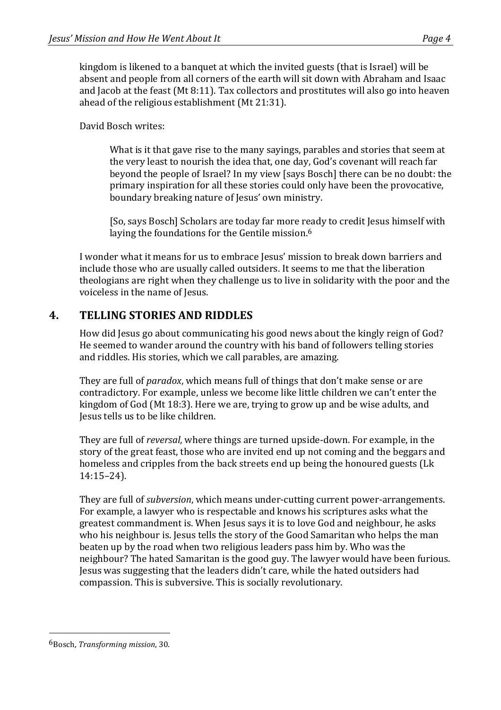kingdom is likened to a banquet at which the invited guests (that is Israel) will be absent and people from all corners of the earth will sit down with Abraham and Isaac and Jacob at the feast (Mt 8:11). Tax collectors and prostitutes will also go into heaven ahead of the religious establishment (Mt 21:31).

David Bosch writes:

What is it that gave rise to the many sayings, parables and stories that seem at the very least to nourish the idea that, one day, God's covenant will reach far beyond the people of Israel? In my view [says Bosch] there can be no doubt: the primary inspiration for all these stories could only have been the provocative, boundary breaking nature of Jesus' own ministry.

[So, says Bosch] Scholars are today far more ready to credit Jesus himself with laying the foundations for the Gentile mission. $6$ 

I wonder what it means for us to embrace Iesus' mission to break down barriers and include those who are usually called outsiders. It seems to me that the liberation theologians are right when they challenge us to live in solidarity with the poor and the voiceless in the name of Jesus.

# **4. TELLING STORIES AND RIDDLES**

How did Jesus go about communicating his good news about the kingly reign of God? He seemed to wander around the country with his band of followers telling stories and riddles. His stories, which we call parables, are amazing.

They are full of *paradox*, which means full of things that don't make sense or are contradictory. For example, unless we become like little children we can't enter the kingdom of God (Mt 18:3). Here we are, trying to grow up and be wise adults, and Jesus tells us to be like children.

They are full of *reversal*, where things are turned upside-down. For example, in the story of the great feast, those who are invited end up not coming and the beggars and homeless and cripples from the back streets end up being the honoured guests (Lk 14:15–24).

They are full of *subversion*, which means under-cutting current power-arrangements. For example, a lawyer who is respectable and knows his scriptures asks what the greatest commandment is. When Jesus says it is to love God and neighbour, he asks who his neighbour is. Jesus tells the story of the Good Samaritan who helps the man beaten up by the road when two religious leaders pass him by. Who was the neighbour? The hated Samaritan is the good guy. The lawyer would have been furious. Jesus was suggesting that the leaders didn't care, while the hated outsiders had compassion. This is subversive. This is socially revolutionary.

 6Bosch, *Transforming mission*, 30.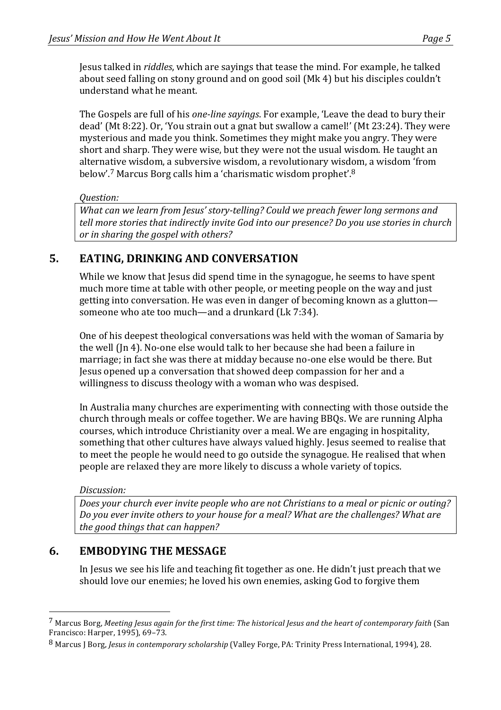Jesus talked in *riddles*, which are sayings that tease the mind. For example, he talked about seed falling on stony ground and on good soil (Mk 4) but his disciples couldn't understand what he meant.

The Gospels are full of his *one-line sayings*. For example, 'Leave the dead to bury their dead' (Mt 8:22). Or, 'You strain out a gnat but swallow a camel!' (Mt 23:24). They were mysterious and made you think. Sometimes they might make you angry. They were short and sharp. They were wise, but they were not the usual wisdom. He taught an alternative wisdom, a subversive wisdom, a revolutionary wisdom, a wisdom 'from below'.<sup>7</sup> Marcus Borg calls him a 'charismatic wisdom prophet'.<sup>8</sup>

#### *Question:*

*What can we learn from Jesus' story-telling? Could we preach fewer long sermons and tell more stories that indirectly invite God into our presence? Do you use stories in church or* in sharing the gospel with others?

# **5. EATING, DRINKING AND CONVERSATION**

While we know that Jesus did spend time in the synagogue, he seems to have spent much more time at table with other people, or meeting people on the way and just getting into conversation. He was even in danger of becoming known as a glutton someone who ate too much—and a drunkard (Lk 7:34).

One of his deepest theological conversations was held with the woman of Samaria by the well (In 4). No-one else would talk to her because she had been a failure in marriage; in fact she was there at midday because no-one else would be there. But Jesus opened up a conversation that showed deep compassion for her and a willingness to discuss theology with a woman who was despised.

In Australia many churches are experimenting with connecting with those outside the church through meals or coffee together. We are having BBQs. We are running Alpha courses, which introduce Christianity over a meal. We are engaging in hospitality, something that other cultures have always valued highly. Jesus seemed to realise that to meet the people he would need to go outside the synagogue. He realised that when people are relaxed they are more likely to discuss a whole variety of topics.

#### *Discussion:*

 

Does your church ever invite people who are not Christians to a meal or picnic or outing? *Do* you ever invite others to your house for a meal? What are the challenges? What are *the good things that can happen?* 

# **6. EMBODYING THE MESSAGE**

In Jesus we see his life and teaching fit together as one. He didn't just preach that we should love our enemies; he loved his own enemies, asking God to forgive them

<sup>&</sup>lt;sup>7</sup> Marcus Borg, *Meeting Jesus again for the first time: The historical Jesus and the heart of contemporary faith (San* Francisco: Harper,  $1995$ ),  $69-73$ .

<sup>8</sup> Marcus J Borg, *Jesus in contemporary scholarship* (Valley Forge, PA: Trinity Press International, 1994), 28.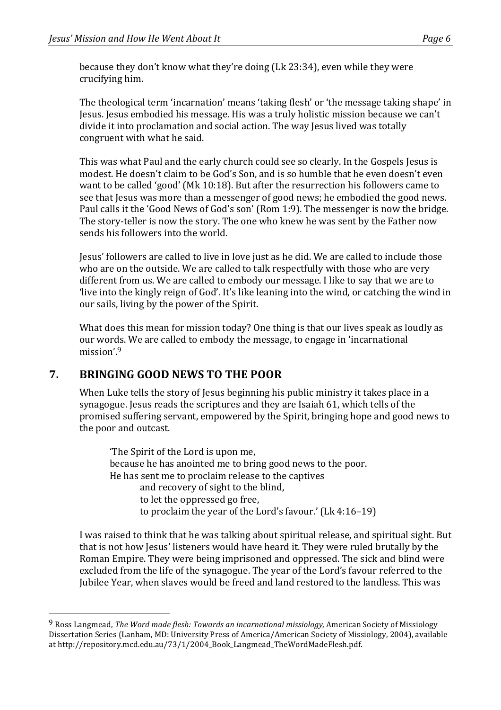because they don't know what they're doing  $(Lk 23:34)$ , even while they were crucifying him.

The theological term 'incarnation' means 'taking flesh' or 'the message taking shape' in Jesus. Jesus embodied his message. His was a truly holistic mission because we can't divide it into proclamation and social action. The way Jesus lived was totally congruent with what he said.

This was what Paul and the early church could see so clearly. In the Gospels Jesus is modest. He doesn't claim to be God's Son, and is so humble that he even doesn't even want to be called 'good' (Mk 10:18). But after the resurrection his followers came to see that Jesus was more than a messenger of good news; he embodied the good news. Paul calls it the 'Good News of God's son' (Rom 1:9). The messenger is now the bridge. The story-teller is now the story. The one who knew he was sent by the Father now sends his followers into the world.

Iesus' followers are called to live in love just as he did. We are called to include those who are on the outside. We are called to talk respectfully with those who are very different from us. We are called to embody our message. I like to say that we are to 'live into the kingly reign of God'. It's like leaning into the wind, or catching the wind in our sails, living by the power of the Spirit.

What does this mean for mission today? One thing is that our lives speak as loudly as our words. We are called to embody the message, to engage in 'incarnational mission'.9

# **7. BRINGING GOOD NEWS TO THE POOR**

 

When Luke tells the story of Jesus beginning his public ministry it takes place in a synagogue. Jesus reads the scriptures and they are Isaiah 61, which tells of the promised suffering servant, empowered by the Spirit, bringing hope and good news to the poor and outcast.

The Spirit of the Lord is upon me, because he has anointed me to bring good news to the poor. He has sent me to proclaim release to the captives and recovery of sight to the blind. to let the oppressed go free, to proclaim the year of the Lord's favour.' (Lk  $4:16-19$ )

I was raised to think that he was talking about spiritual release, and spiritual sight. But that is not how Jesus' listeners would have heard it. They were ruled brutally by the Roman Empire. They were being imprisoned and oppressed. The sick and blind were excluded from the life of the synagogue. The year of the Lord's favour referred to the Jubilee Year, when slaves would be freed and land restored to the landless. This was

<sup>&</sup>lt;sup>9</sup> Ross Langmead, *The Word made flesh: Towards an incarnational missiology*, American Society of Missiology Dissertation Series (Lanham, MD: University Press of America/American Society of Missiology, 2004), available at http://repository.mcd.edu.au/73/1/2004\_Book\_Langmead\_TheWordMadeFlesh.pdf.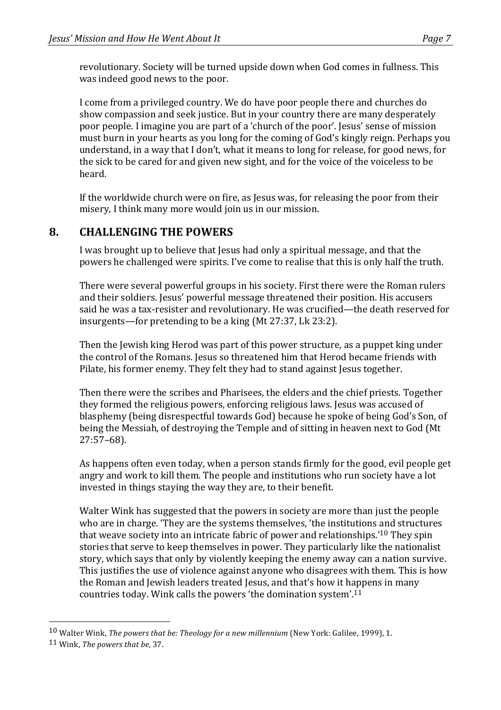revolutionary. Society will be turned upside down when God comes in fullness. This was indeed good news to the poor.

I come from a privileged country. We do have poor people there and churches do show compassion and seek justice. But in your country there are many desperately poor people. I imagine you are part of a 'church of the poor'. Jesus' sense of mission must burn in your hearts as you long for the coming of God's kingly reign. Perhaps you understand, in a way that I don't, what it means to long for release, for good news, for the sick to be cared for and given new sight, and for the voice of the voiceless to be heard.

If the worldwide church were on fire, as Jesus was, for releasing the poor from their misery, I think many more would join us in our mission.

# 8. **CHALLENGING THE POWERS**

I was brought up to believe that Jesus had only a spiritual message, and that the powers he challenged were spirits. I've come to realise that this is only half the truth.

There were several powerful groups in his society. First there were the Roman rulers and their soldiers. Jesus' powerful message threatened their position. His accusers said he was a tax-resister and revolutionary. He was crucified—the death reserved for insurgents—for pretending to be a king  $(Mt 27:37, Lk 23:2)$ .

Then the Jewish king Herod was part of this power structure, as a puppet king under the control of the Romans. Jesus so threatened him that Herod became friends with Pilate, his former enemy. They felt they had to stand against Jesus together.

Then there were the scribes and Pharisees, the elders and the chief priests. Together they formed the religious powers, enforcing religious laws. Jesus was accused of blasphemy (being disrespectful towards God) because he spoke of being God's Son, of being the Messiah, of destroying the Temple and of sitting in heaven next to God (Mt 27:57–68).

As happens often even today, when a person stands firmly for the good, evil people get angry and work to kill them. The people and institutions who run society have a lot invested in things staying the way they are, to their benefit.

Walter Wink has suggested that the powers in society are more than just the people who are in charge. 'They are the systems themselves, 'the institutions and structures that weave society into an intricate fabric of power and relationships.'<sup>10</sup> They spin stories that serve to keep themselves in power. They particularly like the nationalist story, which says that only by violently keeping the enemy away can a nation survive. This justifies the use of violence against anyone who disagrees with them. This is how the Roman and Jewish leaders treated Jesus, and that's how it happens in many countries today. Wink calls the powers 'the domination system'.<sup>11</sup>

 

<sup>&</sup>lt;sup>10</sup> Walter Wink, *The powers that be: Theology for a new millennium* (New York: Galilee, 1999), 1.

<sup>11</sup> Wink, *The powers that be*, 37.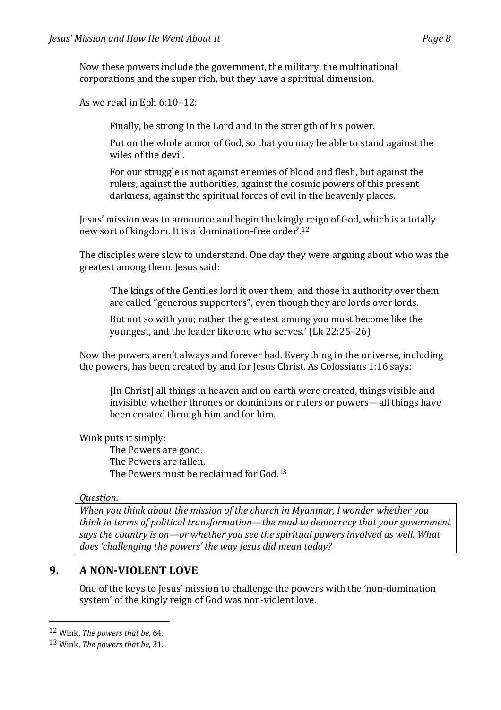Now these powers include the government, the military, the multinational corporations and the super rich, but they have a spiritual dimension.

As we read in Eph  $6:10-12$ :

Finally, be strong in the Lord and in the strength of his power.

Put on the whole armor of God, so that you may be able to stand against the wiles of the devil.

For our struggle is not against enemies of blood and flesh, but against the rulers, against the authorities, against the cosmic powers of this present darkness, against the spiritual forces of evil in the heavenly places.

Jesus' mission was to announce and begin the kingly reign of God, which is a totally new sort of kingdom. It is a 'domination-free order'.<sup>12</sup>

The disciples were slow to understand. One day they were arguing about who was the greatest among them. Jesus said:

The kings of the Gentiles lord it over them; and those in authority over them are called "generous supporters", even though they are lords over lords.

But not so with you; rather the greatest among you must become like the youngest, and the leader like one who serves.' (Lk 22:25–26)

Now the powers aren't always and forever bad. Everything in the universe, including the powers, has been created by and for Jesus Christ. As Colossians  $1:16$  says:

[In Christ] all things in heaven and on earth were created, things visible and invisible, whether thrones or dominions or rulers or powers—all things have been created through him and for him.

Wink puts it simply:

The Powers are good. The Powers are fallen. The Powers must be reclaimed for  $God.^13$ 

#### *Question:*

*When you think about the mission of the church in Myanmar, I wonder whether you think* in terms of political transformation—the road to democracy that your aovernment says the country is on—or whether you see the spiritual powers involved as well. What does 'challenging the powers' the way *Jesus did mean today?* 

# **9. A NON-VIOLENT LOVE**

One of the keys to Jesus' mission to challenge the powers with the 'non-domination system' of the kingly reign of God was non-violent love.

 12 Wink, *The powers that be*, 64.

<sup>13</sup> Wink, *The powers that be*, 31.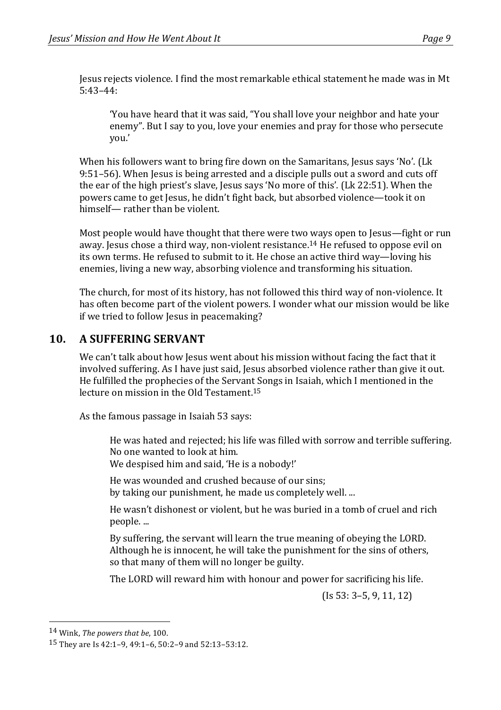Jesus rejects violence. I find the most remarkable ethical statement he made was in Mt 5:43–44:

'You have heard that it was said, "You shall love your neighbor and hate your enemy". But I say to you, love your enemies and pray for those who persecute you.'

When his followers want to bring fire down on the Samaritans, Jesus says 'No'. (Lk 9:51–56). When Jesus is being arrested and a disciple pulls out a sword and cuts off the ear of the high priest's slave, Jesus says 'No more of this'. (Lk 22:51). When the powers came to get Jesus, he didn't fight back, but absorbed violence—took it on himself— rather than be violent.

Most people would have thought that there were two ways open to Jesus—fight or run away. Jesus chose a third way, non-violent resistance.<sup>14</sup> He refused to oppose evil on its own terms. He refused to submit to it. He chose an active third way—loving his enemies, living a new way, absorbing violence and transforming his situation.

The church, for most of its history, has not followed this third way of non-violence. It has often become part of the violent powers. I wonder what our mission would be like if we tried to follow Jesus in peacemaking?

### **10. A SUFFERING SERVANT**

We can't talk about how Jesus went about his mission without facing the fact that it involved suffering. As I have just said, Jesus absorbed violence rather than give it out. He fulfilled the prophecies of the Servant Songs in Isaiah, which I mentioned in the lecture on mission in the Old Testament.<sup>15</sup>

As the famous passage in Isaiah 53 says:

He was hated and rejected; his life was filled with sorrow and terrible suffering. No one wanted to look at him.

We despised him and said, 'He is a nobody!'

He was wounded and crushed because of our sins; by taking our punishment, he made us completely well. ...

He wasn't dishonest or violent, but he was buried in a tomb of cruel and rich people. ...

By suffering, the servant will learn the true meaning of obeying the LORD. Although he is innocent, he will take the punishment for the sins of others, so that many of them will no longer be guilty.

The LORD will reward him with honour and power for sacrificing his life.

 $($ Is 53: 3–5, 9, 11, 12)

 14 Wink, *The powers that be*, 100.

<sup>15</sup> They are Is 42:1-9, 49:1-6, 50:2-9 and 52:13-53:12.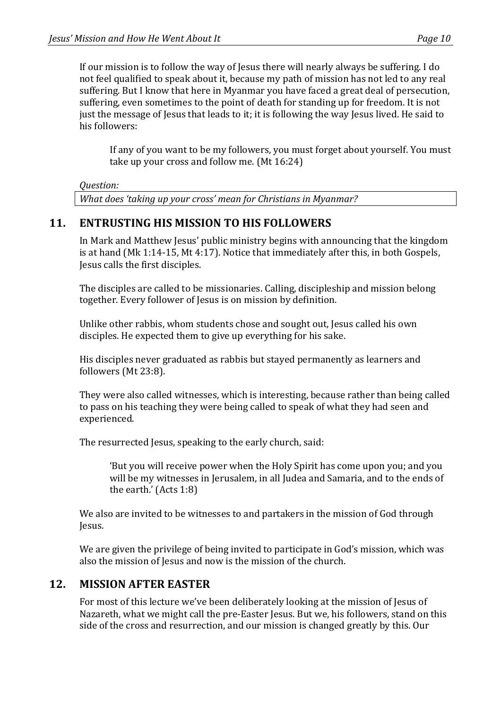If our mission is to follow the way of Jesus there will nearly always be suffering. I do not feel qualified to speak about it, because my path of mission has not led to any real suffering. But I know that here in Myanmar you have faced a great deal of persecution, suffering, even sometimes to the point of death for standing up for freedom. It is not just the message of Jesus that leads to it; it is following the way Jesus lived. He said to his followers:

If any of you want to be my followers, you must forget about yourself. You must take up your cross and follow me.  $(Mt 16:24)$ 

*Question:*

What does 'taking up your cross' mean for Christians in Myanmar?

### **11. ENTRUSTING HIS MISSION TO HIS FOLLOWERS**

In Mark and Matthew Jesus' public ministry begins with announcing that the kingdom is at hand  $(Mk 1:14-15, Mt 4:17)$ . Notice that immediately after this, in both Gospels, Jesus calls the first disciples.

The disciples are called to be missionaries. Calling, discipleship and mission belong together. Every follower of Jesus is on mission by definition.

Unlike other rabbis, whom students chose and sought out, Jesus called his own disciples. He expected them to give up everything for his sake.

His disciples never graduated as rabbis but stayed permanently as learners and followers (Mt 23:8).

They were also called witnesses, which is interesting, because rather than being called to pass on his teaching they were being called to speak of what they had seen and experienced.

The resurrected Jesus, speaking to the early church, said:

'But you will receive power when the Holy Spirit has come upon you; and you will be my witnesses in Jerusalem, in all Judea and Samaria, and to the ends of the earth.' (Acts  $1:8$ )

We also are invited to be witnesses to and partakers in the mission of God through Jesus.

We are given the privilege of being invited to participate in God's mission, which was also the mission of Jesus and now is the mission of the church.

#### **12. MISSION AFTER EASTER**

For most of this lecture we've been deliberately looking at the mission of Jesus of Nazareth, what we might call the pre-Easter Jesus. But we, his followers, stand on this side of the cross and resurrection, and our mission is changed greatly by this. Our